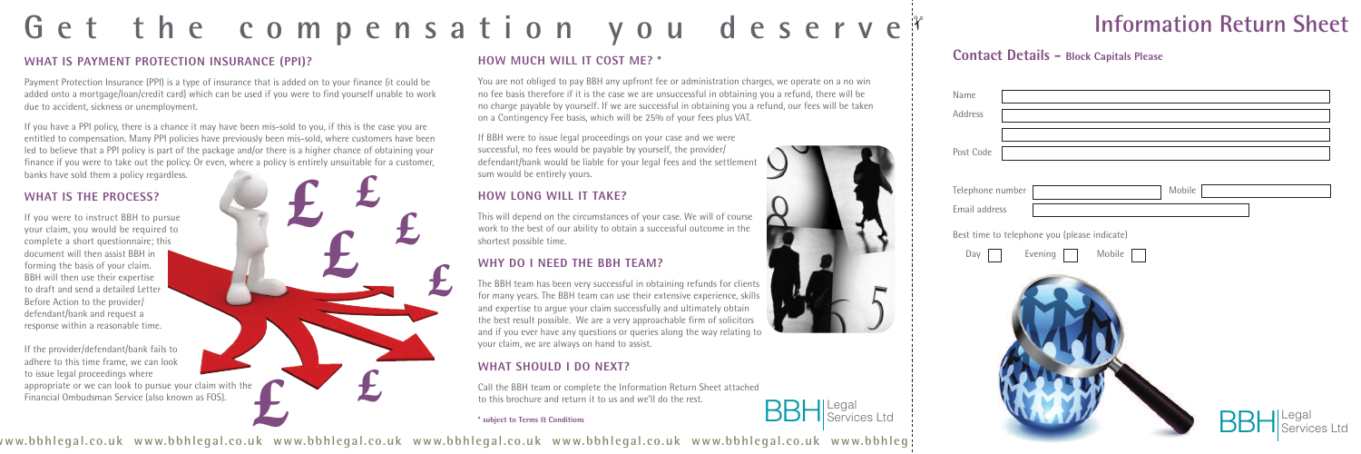

# Get the compensation you deserve

#### **WHAT IS PAYMENT PROTECTION INSURANCE (PPI)?**

Payment Protection Insurance (PPI) is a type of insurance that is added on to your finance (it could be added onto a mortgage/loan/credit card) which can be used if you were to find yourself unable to work due to accident, sickness or unemployment.

If you have a PPI policy, there is a chance it may have been mis-sold to you, if this is the case you are entitled to compensation. Many PPI policies have previously been mis-sold, where customers have been led to believe that a PPI policy is part of the package and/or there is a higher chance of obtaining your finance if you were to take out the policy. Or even, where a policy is entirely unsuitable for a customer, banks have sold them a policy regardless.

#### **WHAT IS THE PROCESS?**

If you were to instruct BBH to pursue your claim, you would be required to complete a short questionnaire; this document will then assist BBH in forming the basis of your claim. BBH will then use their expertise to draft and send a detailed Letter Before Action to the provider/ defendant/bank and request a response within a reasonable time.

If the provider/defendant/bank fails to adhere to this time frame, we can look to issue legal proceedings where appropriate or we can look to pursue your claim with the Financial Ombudsman Service (also known as FOS).

#### **HOW MUCH WILL IT COST ME? \***

You are not obliged to pay BBH any upfront fee or administration charges, we operate on a no win no fee basis therefore if it is the case we are unsuccessful in obtaining you a refund, there will be no charge payable by yourself. If we are successful in obtaining you a refund, our fees will be taken on a Contingency Fee basis, which will be 25% of your fees plus VAT.

If BBH were to issue legal proceedings on your case and we were successful, no fees would be payable by yourself, the provider/ defendant/bank would be liable for your legal fees and the settlement sum would be entirely yours.

#### **HOW LONG WILL IT TAKE?**

This will depend on the circumstances of your case. We will of course work to the best of our ability to obtain a successful outcome in the shortest possible time.

#### **WHY DO I NEED THE BBH TEAM?**

The BBH team has been very successful in obtaining refunds for clients for many years. The BBH team can use their extensive experience, skills and expertise to argue your claim successfully and ultimately obtain the best result possible. We are a very approachable firm of solicitors and if you ever have any questions or queries along the way relating to your claim, we are always on hand to assist.

#### **WHAT SHOULD I DO NEXT?**

Call the BBH team or complete the Information Return Sheet attached to this brochure and return it to us and we'll do the rest.

**\* subject to Terms & Conditions**



#### **Contact Details - Block Capitals Please**



| Name                                         |
|----------------------------------------------|
| Address                                      |
| Post Code                                    |
| Telephone number<br>Mobile                   |
| Email address                                |
| Best time to telephone you (please indicate) |
| Evening<br>Mobile<br>Day                     |
| Legal<br>Services Ltd                        |

## **Information Return Sheet**